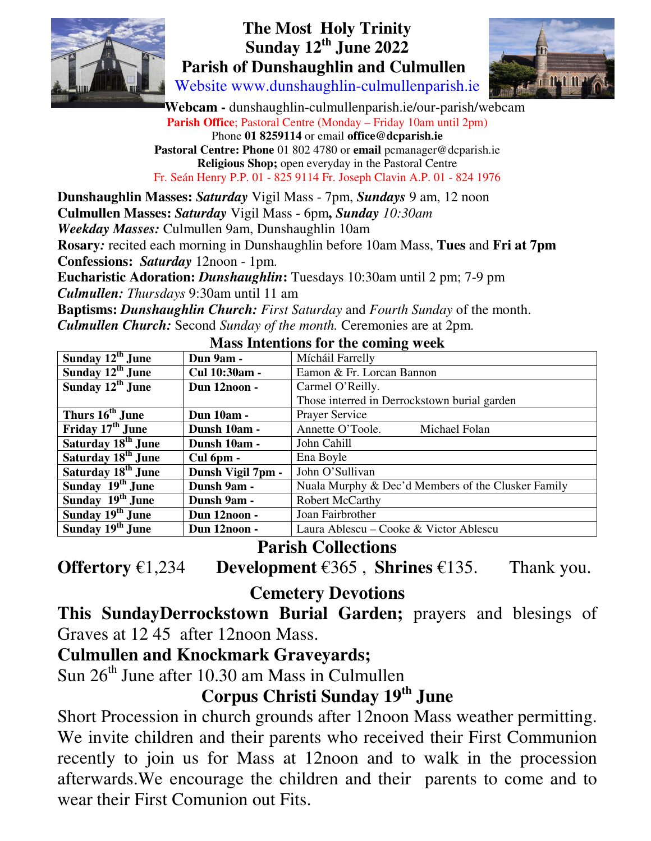

# **The Most Holy Trinity Sunday 12th June 2022 Parish of Dunshaughlin and Culmullen**

Website www.dunshaughlin-culmullenparish.ie



 **Webcam -** dunshaughlin-culmullenparish.ie/our-parish/webcam **Parish Office**; Pastoral Centre (Monday – Friday 10am until 2pm) Phone **01 8259114** or email **office@dcparish.ie Pastoral Centre: Phone** 01 802 4780 or **email** pcmanager@dcparish.ie **Religious Shop;** open everyday in the Pastoral Centre Fr. Seán Henry P.P. 01 - 825 9114 Fr. Joseph Clavin A.P. 01 - 824 1976

**Dunshaughlin Masses:** *Saturday* Vigil Mass - 7pm, *Sundays* 9 am, 12 noon **Culmullen Masses:** *Saturday* Vigil Mass - 6pm**,** *Sunday 10:30am Weekday Masses:* Culmullen 9am, Dunshaughlin 10am **Rosary***:* recited each morning in Dunshaughlin before 10am Mass, **Tues** and **Fri at 7pm Confessions:** *Saturday* 12noon - 1pm. **Eucharistic Adoration:** *Dunshaughlin***:** Tuesdays 10:30am until 2 pm; 7-9 pm *Culmullen: Thursdays* 9:30am until 11 am **Baptisms:** *Dunshaughlin Church: First Saturday* and *Fourth Sunday* of the month. *Culmullen Church:* Second *Sunday of the month.* Ceremonies are at 2pm.

| Sunday $12th$ June             | Dun 9am -         | Mícháil Farrelly                                   |
|--------------------------------|-------------------|----------------------------------------------------|
| Sunday $12^{th}$ June          | Cul 10:30am -     | Eamon & Fr. Lorcan Bannon                          |
| Sunday 12 <sup>th</sup> June   | Dun 12noon -      | Carmel O'Reilly.                                   |
|                                |                   | Those interred in Derrockstown burial garden       |
| Thurs 16 <sup>th</sup> June    | <b>Dun 10am -</b> | Prayer Service                                     |
| Friday 17 <sup>th</sup> June   | Dunsh 10am -      | Annette O'Toole.<br>Michael Folan                  |
| Saturday 18 <sup>th</sup> June | Dunsh 10am -      | John Cahill                                        |
| Saturday 18 <sup>th</sup> June | Cul 6pm -         | Ena Boyle                                          |
| Saturday 18 <sup>th</sup> June | Dunsh Vigil 7pm - | John O'Sullivan                                    |
| Sunday 19 <sup>th</sup> June   | Dunsh 9am -       | Nuala Murphy & Dec'd Members of the Clusker Family |
| Sunday 19 <sup>th</sup> June   | Dunsh 9am -       | <b>Robert McCarthy</b>                             |
| Sunday 19 <sup>th</sup> June   | Dun 12noon -      | Joan Fairbrother                                   |
| Sunday 19 <sup>th</sup> June   | Dun 12noon -      | Laura Ablescu – Cooke & Victor Ablescu             |

#### **Mass Intentions for the coming week**

# **Parish Collections**

**Offertory** €1,234 **Development** €365 , **Shrines** €135. Thank you.

**Cemetery Devotions** 

# **This SundayDerrockstown Burial Garden;** prayers and blesings of Graves at 12 45 after 12noon Mass.

# **Culmullen and Knockmark Graveyards;**

Sun  $26<sup>th</sup>$  June after 10.30 am Mass in Culmullen

# **Corpus Christi Sunday 19th June**

Short Procession in church grounds after 12noon Mass weather permitting. We invite children and their parents who received their First Communion recently to join us for Mass at 12noon and to walk in the procession afterwards.We encourage the children and their parents to come and to wear their First Comunion out Fits.